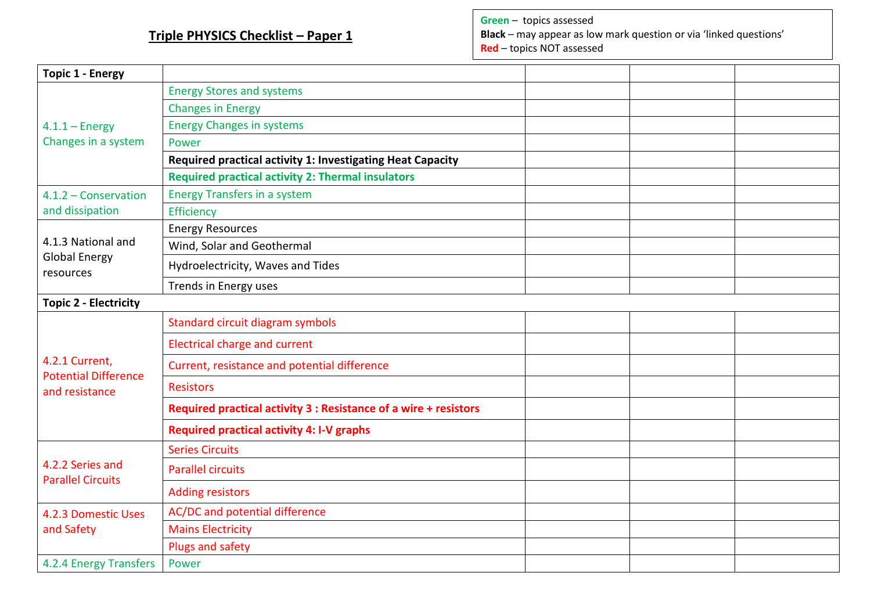## **Triple PHYSICS Checklist – Paper 1**

**Green** – topics assessed

**Black** – may appear as low mark question or via 'linked questions' **Red** – topics NOT assessed

| <b>Topic 1 - Energy</b>                       |                                                                  |  |  |  |
|-----------------------------------------------|------------------------------------------------------------------|--|--|--|
|                                               | <b>Energy Stores and systems</b>                                 |  |  |  |
|                                               | <b>Changes in Energy</b>                                         |  |  |  |
| $4.1.1 -$ Energy                              | <b>Energy Changes in systems</b>                                 |  |  |  |
| Changes in a system                           | Power                                                            |  |  |  |
|                                               | Required practical activity 1: Investigating Heat Capacity       |  |  |  |
|                                               | <b>Required practical activity 2: Thermal insulators</b>         |  |  |  |
| 4.1.2 - Conservation                          | <b>Energy Transfers in a system</b>                              |  |  |  |
| and dissipation                               | Efficiency                                                       |  |  |  |
|                                               | <b>Energy Resources</b>                                          |  |  |  |
| 4.1.3 National and                            | Wind, Solar and Geothermal                                       |  |  |  |
| <b>Global Energy</b><br>resources             | Hydroelectricity, Waves and Tides                                |  |  |  |
|                                               | Trends in Energy uses                                            |  |  |  |
| <b>Topic 2 - Electricity</b>                  |                                                                  |  |  |  |
|                                               | Standard circuit diagram symbols                                 |  |  |  |
|                                               | <b>Electrical charge and current</b>                             |  |  |  |
| 4.2.1 Current,<br><b>Potential Difference</b> | Current, resistance and potential difference                     |  |  |  |
| and resistance                                | <b>Resistors</b>                                                 |  |  |  |
|                                               | Required practical activity 3 : Resistance of a wire + resistors |  |  |  |
|                                               | <b>Required practical activity 4: I-V graphs</b>                 |  |  |  |
| 4.2.2 Series and<br><b>Parallel Circuits</b>  | <b>Series Circuits</b>                                           |  |  |  |
|                                               | <b>Parallel circuits</b>                                         |  |  |  |
|                                               | <b>Adding resistors</b>                                          |  |  |  |
| 4.2.3 Domestic Uses<br>and Safety             | AC/DC and potential difference                                   |  |  |  |
|                                               | <b>Mains Electricity</b>                                         |  |  |  |
|                                               | Plugs and safety                                                 |  |  |  |
| 4.2.4 Energy Transfers                        | Power                                                            |  |  |  |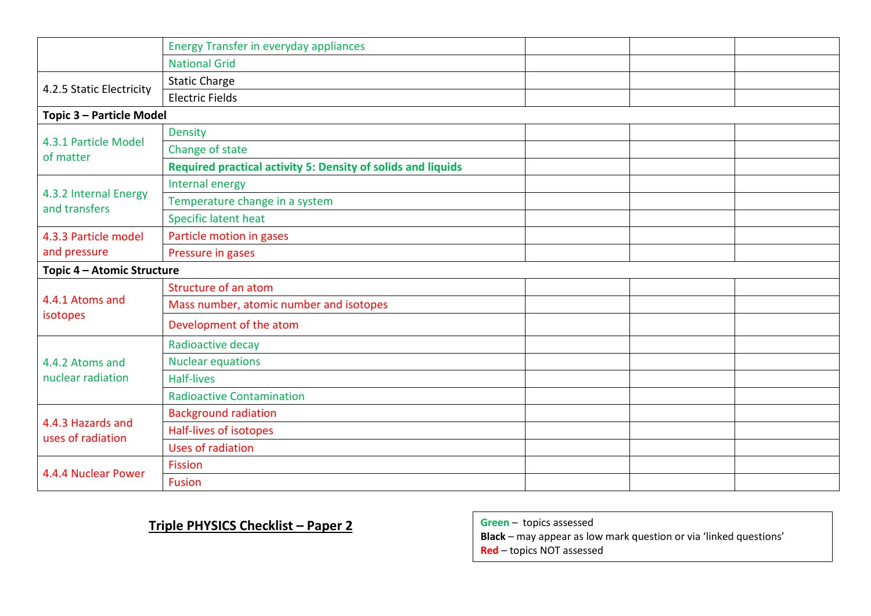|                                        | <b>Energy Transfer in everyday appliances</b>                       |  |  |  |
|----------------------------------------|---------------------------------------------------------------------|--|--|--|
|                                        | <b>National Grid</b>                                                |  |  |  |
| 4.2.5 Static Electricity               | <b>Static Charge</b>                                                |  |  |  |
|                                        | <b>Electric Fields</b>                                              |  |  |  |
| Topic 3 - Particle Model               |                                                                     |  |  |  |
|                                        | <b>Density</b>                                                      |  |  |  |
| 4.3.1 Particle Model<br>of matter      | Change of state                                                     |  |  |  |
|                                        | <b>Required practical activity 5: Density of solids and liquids</b> |  |  |  |
|                                        | Internal energy                                                     |  |  |  |
| 4.3.2 Internal Energy<br>and transfers | Temperature change in a system                                      |  |  |  |
|                                        | Specific latent heat                                                |  |  |  |
| 4.3.3 Particle model                   | Particle motion in gases                                            |  |  |  |
| and pressure                           | Pressure in gases                                                   |  |  |  |
| Topic 4 - Atomic Structure             |                                                                     |  |  |  |
|                                        | Structure of an atom                                                |  |  |  |
|                                        | Mass number, atomic number and isotopes                             |  |  |  |
| 4.4.1 Atoms and<br>isotopes            | Development of the atom                                             |  |  |  |
| 4.4.2 Atoms and                        | Radioactive decay                                                   |  |  |  |
|                                        | <b>Nuclear equations</b>                                            |  |  |  |
| nuclear radiation                      | <b>Half-lives</b>                                                   |  |  |  |
|                                        | <b>Radioactive Contamination</b>                                    |  |  |  |
|                                        | <b>Background radiation</b>                                         |  |  |  |
| 4.4.3 Hazards and<br>uses of radiation | Half-lives of isotopes                                              |  |  |  |
|                                        | <b>Uses of radiation</b>                                            |  |  |  |
| 4.4.4 Nuclear Power                    | <b>Fission</b>                                                      |  |  |  |
|                                        | <b>Fusion</b>                                                       |  |  |  |

## **Triple PHYSICS Checklist – Paper 2**

| Green - topics assessed |  |
|-------------------------|--|
|-------------------------|--|

**Black** – may appear as low mark question or via 'linked questions' **Red** – topics NOT assessed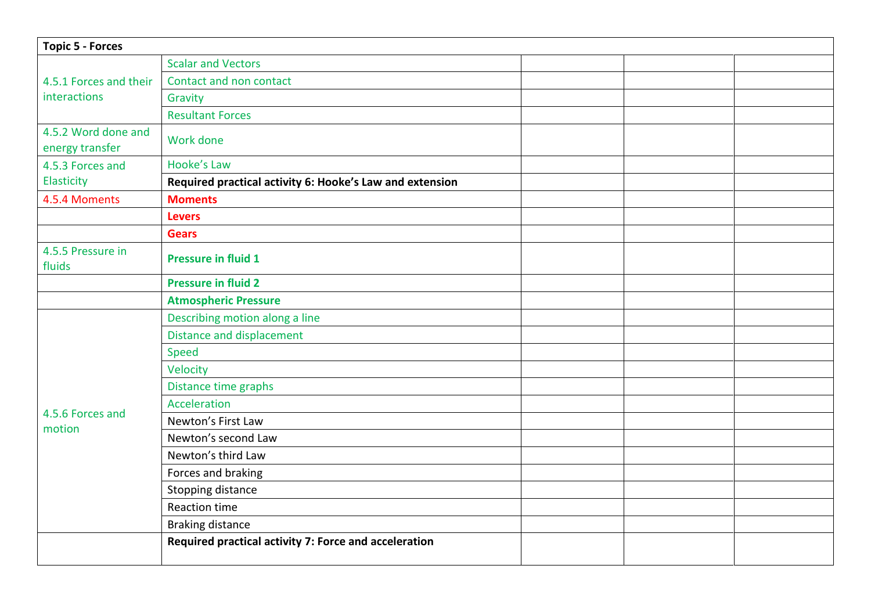| <b>Topic 5 - Forces</b>                |                                                          |  |  |  |
|----------------------------------------|----------------------------------------------------------|--|--|--|
| 4.5.1 Forces and their<br>interactions | <b>Scalar and Vectors</b>                                |  |  |  |
|                                        | Contact and non contact                                  |  |  |  |
|                                        | Gravity                                                  |  |  |  |
|                                        | <b>Resultant Forces</b>                                  |  |  |  |
| 4.5.2 Word done and<br>energy transfer | Work done                                                |  |  |  |
| 4.5.3 Forces and                       | Hooke's Law                                              |  |  |  |
| Elasticity                             | Required practical activity 6: Hooke's Law and extension |  |  |  |
| 4.5.4 Moments                          | <b>Moments</b>                                           |  |  |  |
|                                        | <b>Levers</b>                                            |  |  |  |
|                                        | <b>Gears</b>                                             |  |  |  |
| 4.5.5 Pressure in<br>fluids            | <b>Pressure in fluid 1</b>                               |  |  |  |
|                                        | <b>Pressure in fluid 2</b>                               |  |  |  |
|                                        | <b>Atmospheric Pressure</b>                              |  |  |  |
|                                        | Describing motion along a line                           |  |  |  |
|                                        | <b>Distance and displacement</b>                         |  |  |  |
|                                        | Speed                                                    |  |  |  |
|                                        | Velocity                                                 |  |  |  |
|                                        | Distance time graphs                                     |  |  |  |
| 4.5.6 Forces and                       | Acceleration                                             |  |  |  |
| motion                                 | Newton's First Law                                       |  |  |  |
|                                        | Newton's second Law                                      |  |  |  |
|                                        | Newton's third Law                                       |  |  |  |
|                                        | Forces and braking                                       |  |  |  |
|                                        | Stopping distance                                        |  |  |  |
|                                        | <b>Reaction time</b>                                     |  |  |  |
|                                        | <b>Braking distance</b>                                  |  |  |  |
|                                        | Required practical activity 7: Force and acceleration    |  |  |  |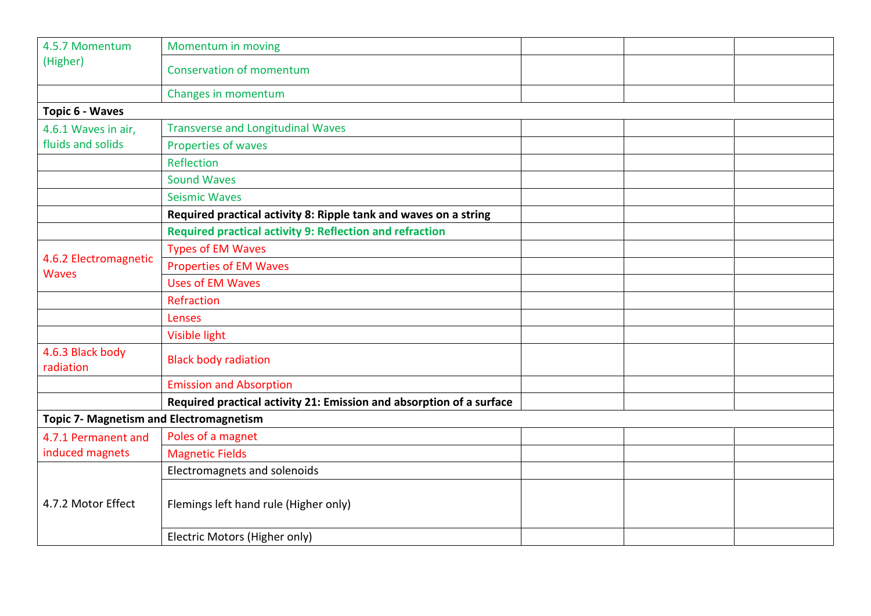| 4.5.7 Momentum<br>(Higher)                     | Momentum in moving                                                   |  |  |  |
|------------------------------------------------|----------------------------------------------------------------------|--|--|--|
|                                                | <b>Conservation of momentum</b>                                      |  |  |  |
|                                                | Changes in momentum                                                  |  |  |  |
| Topic 6 - Waves                                |                                                                      |  |  |  |
| 4.6.1 Waves in air,                            | <b>Transverse and Longitudinal Waves</b>                             |  |  |  |
| fluids and solids                              | Properties of waves                                                  |  |  |  |
|                                                | Reflection                                                           |  |  |  |
|                                                | <b>Sound Waves</b>                                                   |  |  |  |
|                                                | <b>Seismic Waves</b>                                                 |  |  |  |
|                                                | Required practical activity 8: Ripple tank and waves on a string     |  |  |  |
|                                                | Required practical activity 9: Reflection and refraction             |  |  |  |
|                                                | <b>Types of EM Waves</b>                                             |  |  |  |
| 4.6.2 Electromagnetic<br><b>Waves</b>          | <b>Properties of EM Waves</b>                                        |  |  |  |
|                                                | <b>Uses of EM Waves</b>                                              |  |  |  |
|                                                | Refraction                                                           |  |  |  |
|                                                | Lenses                                                               |  |  |  |
|                                                | <b>Visible light</b>                                                 |  |  |  |
| 4.6.3 Black body<br>radiation                  | <b>Black body radiation</b>                                          |  |  |  |
|                                                | <b>Emission and Absorption</b>                                       |  |  |  |
|                                                | Required practical activity 21: Emission and absorption of a surface |  |  |  |
| <b>Topic 7- Magnetism and Electromagnetism</b> |                                                                      |  |  |  |
| 4.7.1 Permanent and                            | Poles of a magnet                                                    |  |  |  |
| induced magnets                                | <b>Magnetic Fields</b>                                               |  |  |  |
|                                                | Electromagnets and solenoids                                         |  |  |  |
| 4.7.2 Motor Effect                             | Flemings left hand rule (Higher only)                                |  |  |  |
|                                                | Electric Motors (Higher only)                                        |  |  |  |